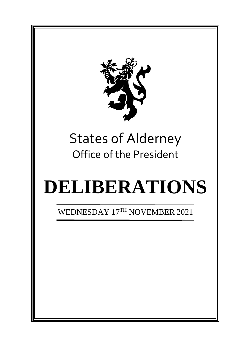

# States of Alderney Office of the President

# **DELIBERATIONS**

WEDNESDAY 17<sup>TH</sup> NOVEMBER 2021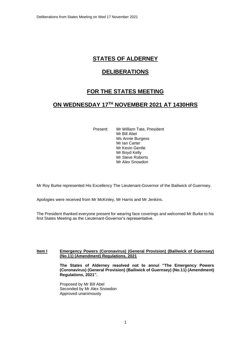# **STATES OF ALDERNEY**

## **DELIBERATIONS**

# **FOR THE STATES MEETING**

### **ON WEDNESDAY 17TH NOVEMBER 2021 AT 1430HRS**

Present: Mr William Tate, President Mr Bill Abel Ms Annie Burgess Mr Ian Carter Mr Kevin Gentle Mr Boyd Kelly Mr Steve Roberts Mr Alex Snowdon

Mr Roy Burke represented His Excellency The Lieutenant-Governor of the Bailiwick of Guernsey.

Apologies were received from Mr McKinley, Mr Harris and Mr Jenkins.

The President thanked everyone present for wearing face coverings and welcomed Mr Burke to his first States Meeting as the Lieutenant-Governor's representative.

#### **Item I Emergency Powers (Coronavirus) (General Provision) (Bailiwick of Guernsey) (No.11) (Amendment) Regulations, 2021**

**The States of Alderney resolved not to annul "The Emergency Powers (Coronavirus) (General Provision) (Bailiwick of Guernsey) (No.11) (Amendment) Regulations, 2021".**

Proposed by Mr Bill Abel Seconded by Mr Alex Snowdon Approved unanimously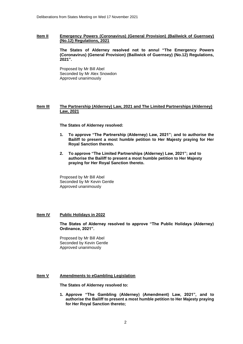#### **Item II Emergency Powers (Coronavirus) (General Provision) (Bailiwick of Guernsey) (No.12) Regulations, 2021**

**The States of Alderney resolved not to annul "The Emergency Powers (Coronavirus) (General Provision) (Bailiwick of Guernsey) (No.12) Regulations, 2021".**

Proposed by Mr Bill Abel Seconded by Mr Alex Snowdon Approved unanimously

#### **Item III The Partnership (Alderney) Law, 2021 and The Limited Partnerships (Alderney) Law, 2021**

**The States of Alderney resolved:** 

- **1. To approve "The Partnership (Alderney) Law, 2021"; and to authorise the Bailiff to present a most humble petition to Her Majesty praying for Her Royal Sanction thereto.**
- **2. To approve "The Limited Partnerships (Alderney) Law, 2021"; and to authorise the Bailiff to present a most humble petition to Her Majesty praying for Her Royal Sanction thereto.**

Proposed by Mr Bill Abel Seconded by Mr Kevin Gentle Approved unanimously

#### **Item IV Public Holidays in 2022**

**The States of Alderney resolved to approve "The Public Holidays (Alderney) Ordinance, 2021".**

Proposed by Mr Bill Abel Seconded by Kevin Gentle Approved unanimously

#### **Item V Amendments to eGambling Legislation**

**The States of Alderney resolved to:**

**1. Approve "The Gambling (Alderney) (Amendment) Law, 2021", and to authorise the Bailiff to present a most humble petition to Her Majesty praying for Her Royal Sanction thereto;**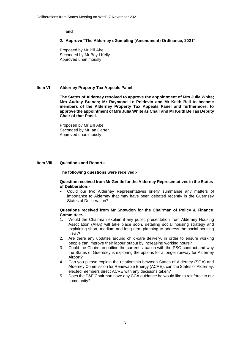**and**

#### **2. Approve "The Alderney eGambling (Amendment) Ordinance, 2021".**

Proposed by Mr Bill Abel Seconded by Mr Boyd Kelly Approved unanimously

#### **Item VI Alderney Property Tax Appeals Panel**

**The States of Alderney resolved to approve the appointment of Mrs Julia White; Mrs Audrey Branch; Mr Raymond Le Poidevin and Mr Keith Bell to become members of the Alderney Property Tax Appeals Panel and furthermore, to approve the appointment of Mrs Julia White as Chair and Mr Keith Bell as Deputy Chair of that Panel.**

Proposed by Mr Bill Abel Seconded by Mr Ian Carter Approved unanimously

#### **Item VIII Questions and Reports**

#### **The following questions were received:-**

#### **Question received from Mr Gentle for the Alderney Representatives in the States of Deliberaton:-**

• Could our two Alderney Representatives briefly summarise any matters of importance to Alderney that may have been debated recently in the Guernsey States of Deliberation?

#### **Questions received from Mr Snowdon for the Chairman of Policy & Finance Committee:-**

- 1. Would the Chairman explain if any public presentation from Alderney Housing Association (AHA) will take place soon, detailing social housing strategy and explaining short, medium and long term planning to address the social housing crisis?
- 2. Are there any updates around child-care delivery, in order to ensure working people can improve their labour output by increasing working hours?
- 3. Could the Chairman outline the current situation with the PSO contract and why the States of Guernsey is exploring the options for a longer runway for Alderney Airport?
- 4. Can you please explain the relationship between States of Alderney (SOA) and Alderney Commission for Renewable Energy (ACRE), can the States of Alderney, elected members direct ACRE with any decisions taken?
- 5. Does the P&F Chairman have any CCA guidance he would like to reinforce to our community?